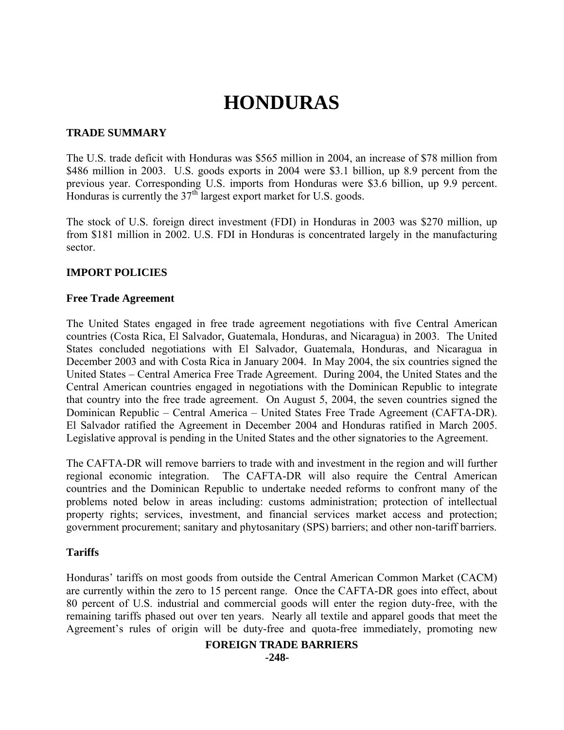# **HONDURAS**

# **TRADE SUMMARY**

The U.S. trade deficit with Honduras was \$565 million in 2004, an increase of \$78 million from \$486 million in 2003. U.S. goods exports in 2004 were \$3.1 billion, up 8.9 percent from the previous year. Corresponding U.S. imports from Honduras were \$3.6 billion, up 9.9 percent. Honduras is currently the  $37<sup>th</sup>$  largest export market for U.S. goods.

The stock of U.S. foreign direct investment (FDI) in Honduras in 2003 was \$270 million, up from \$181 million in 2002. U.S. FDI in Honduras is concentrated largely in the manufacturing sector.

# **IMPORT POLICIES**

## **Free Trade Agreement**

The United States engaged in free trade agreement negotiations with five Central American countries (Costa Rica, El Salvador, Guatemala, Honduras, and Nicaragua) in 2003. The United States concluded negotiations with El Salvador, Guatemala, Honduras, and Nicaragua in December 2003 and with Costa Rica in January 2004. In May 2004, the six countries signed the United States – Central America Free Trade Agreement. During 2004, the United States and the Central American countries engaged in negotiations with the Dominican Republic to integrate that country into the free trade agreement. On August 5, 2004, the seven countries signed the Dominican Republic – Central America – United States Free Trade Agreement (CAFTA-DR). El Salvador ratified the Agreement in December 2004 and Honduras ratified in March 2005. Legislative approval is pending in the United States and the other signatories to the Agreement.

The CAFTA-DR will remove barriers to trade with and investment in the region and will further regional economic integration. The CAFTA-DR will also require the Central American countries and the Dominican Republic to undertake needed reforms to confront many of the problems noted below in areas including: customs administration; protection of intellectual property rights; services, investment, and financial services market access and protection; government procurement; sanitary and phytosanitary (SPS) barriers; and other non-tariff barriers.

## **Tariffs**

Honduras' tariffs on most goods from outside the Central American Common Market (CACM) are currently within the zero to 15 percent range. Once the CAFTA-DR goes into effect, about 80 percent of U.S. industrial and commercial goods will enter the region duty-free, with the remaining tariffs phased out over ten years. Nearly all textile and apparel goods that meet the Agreement's rules of origin will be duty-free and quota-free immediately, promoting new

## **FOREIGN TRADE BARRIERS**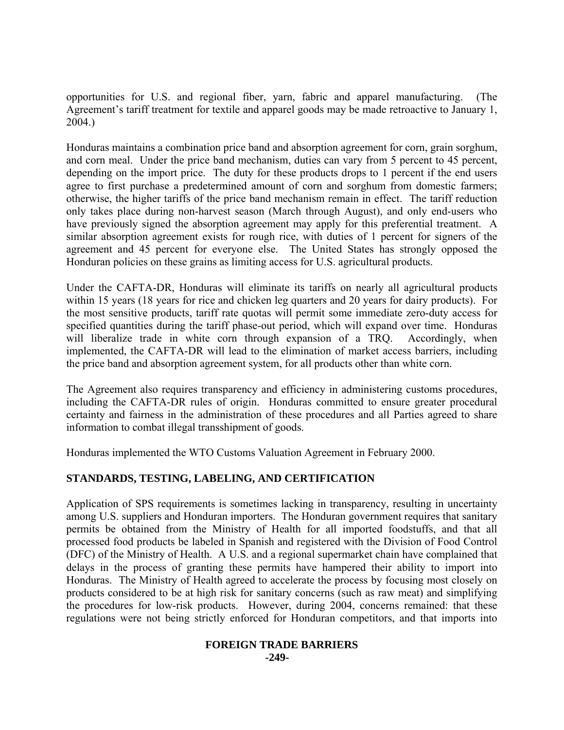opportunities for U.S. and regional fiber, yarn, fabric and apparel manufacturing. (The Agreement's tariff treatment for textile and apparel goods may be made retroactive to January 1, 2004.)

Honduras maintains a combination price band and absorption agreement for corn, grain sorghum, and corn meal. Under the price band mechanism, duties can vary from 5 percent to 45 percent, depending on the import price. The duty for these products drops to 1 percent if the end users agree to first purchase a predetermined amount of corn and sorghum from domestic farmers; otherwise, the higher tariffs of the price band mechanism remain in effect. The tariff reduction only takes place during non-harvest season (March through August), and only end-users who have previously signed the absorption agreement may apply for this preferential treatment. A similar absorption agreement exists for rough rice, with duties of 1 percent for signers of the agreement and 45 percent for everyone else. The United States has strongly opposed the Honduran policies on these grains as limiting access for U.S. agricultural products.

Under the CAFTA-DR, Honduras will eliminate its tariffs on nearly all agricultural products within 15 years (18 years for rice and chicken leg quarters and 20 years for dairy products). For the most sensitive products, tariff rate quotas will permit some immediate zero-duty access for specified quantities during the tariff phase-out period, which will expand over time. Honduras will liberalize trade in white corn through expansion of a TRQ. Accordingly, when implemented, the CAFTA-DR will lead to the elimination of market access barriers, including the price band and absorption agreement system, for all products other than white corn.

The Agreement also requires transparency and efficiency in administering customs procedures, including the CAFTA-DR rules of origin. Honduras committed to ensure greater procedural certainty and fairness in the administration of these procedures and all Parties agreed to share information to combat illegal transshipment of goods.

Honduras implemented the WTO Customs Valuation Agreement in February 2000.

# **STANDARDS, TESTING, LABELING, AND CERTIFICATION**

Application of SPS requirements is sometimes lacking in transparency, resulting in uncertainty among U.S. suppliers and Honduran importers. The Honduran government requires that sanitary permits be obtained from the Ministry of Health for all imported foodstuffs, and that all processed food products be labeled in Spanish and registered with the Division of Food Control (DFC) of the Ministry of Health. A U.S. and a regional supermarket chain have complained that delays in the process of granting these permits have hampered their ability to import into Honduras. The Ministry of Health agreed to accelerate the process by focusing most closely on products considered to be at high risk for sanitary concerns (such as raw meat) and simplifying the procedures for low-risk products. However, during 2004, concerns remained: that these regulations were not being strictly enforced for Honduran competitors, and that imports into

#### **FOREIGN TRADE BARRIERS -249-**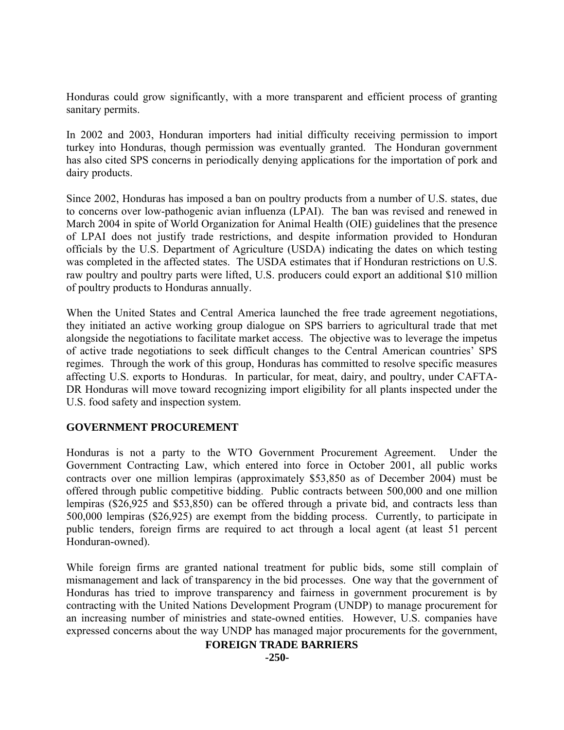Honduras could grow significantly, with a more transparent and efficient process of granting sanitary permits.

In 2002 and 2003, Honduran importers had initial difficulty receiving permission to import turkey into Honduras, though permission was eventually granted. The Honduran government has also cited SPS concerns in periodically denying applications for the importation of pork and dairy products.

Since 2002, Honduras has imposed a ban on poultry products from a number of U.S. states, due to concerns over low-pathogenic avian influenza (LPAI). The ban was revised and renewed in March 2004 in spite of World Organization for Animal Health (OIE) guidelines that the presence of LPAI does not justify trade restrictions, and despite information provided to Honduran officials by the U.S. Department of Agriculture (USDA) indicating the dates on which testing was completed in the affected states. The USDA estimates that if Honduran restrictions on U.S. raw poultry and poultry parts were lifted, U.S. producers could export an additional \$10 million of poultry products to Honduras annually.

When the United States and Central America launched the free trade agreement negotiations, they initiated an active working group dialogue on SPS barriers to agricultural trade that met alongside the negotiations to facilitate market access. The objective was to leverage the impetus of active trade negotiations to seek difficult changes to the Central American countries' SPS regimes. Through the work of this group, Honduras has committed to resolve specific measures affecting U.S. exports to Honduras. In particular, for meat, dairy, and poultry, under CAFTA-DR Honduras will move toward recognizing import eligibility for all plants inspected under the U.S. food safety and inspection system.

## **GOVERNMENT PROCUREMENT**

Honduras is not a party to the WTO Government Procurement Agreement. Under the Government Contracting Law, which entered into force in October 2001, all public works contracts over one million lempiras (approximately \$53,850 as of December 2004) must be offered through public competitive bidding. Public contracts between 500,000 and one million lempiras (\$26,925 and \$53,850) can be offered through a private bid, and contracts less than 500,000 lempiras (\$26,925) are exempt from the bidding process. Currently, to participate in public tenders, foreign firms are required to act through a local agent (at least 51 percent Honduran-owned).

While foreign firms are granted national treatment for public bids, some still complain of mismanagement and lack of transparency in the bid processes. One way that the government of Honduras has tried to improve transparency and fairness in government procurement is by contracting with the United Nations Development Program (UNDP) to manage procurement for an increasing number of ministries and state-owned entities. However, U.S. companies have expressed concerns about the way UNDP has managed major procurements for the government,

# **FOREIGN TRADE BARRIERS**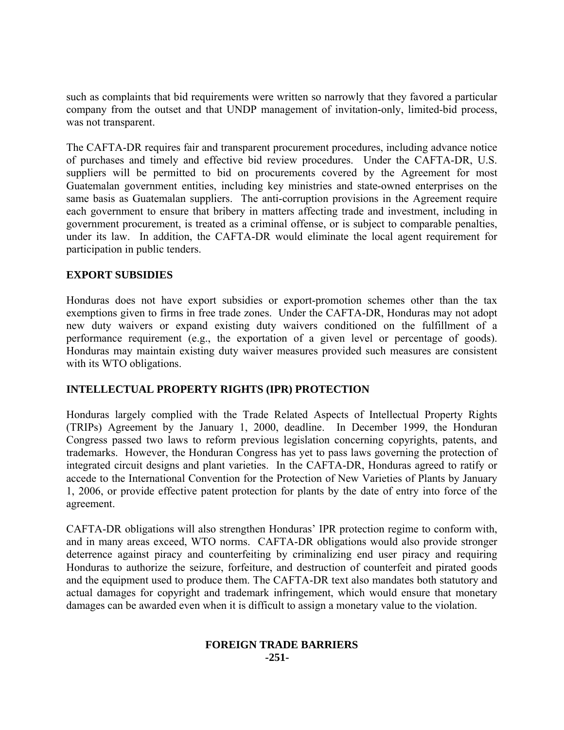such as complaints that bid requirements were written so narrowly that they favored a particular company from the outset and that UNDP management of invitation-only, limited-bid process, was not transparent.

The CAFTA-DR requires fair and transparent procurement procedures, including advance notice of purchases and timely and effective bid review procedures. Under the CAFTA-DR, U.S. suppliers will be permitted to bid on procurements covered by the Agreement for most Guatemalan government entities, including key ministries and state-owned enterprises on the same basis as Guatemalan suppliers. The anti-corruption provisions in the Agreement require each government to ensure that bribery in matters affecting trade and investment, including in government procurement, is treated as a criminal offense, or is subject to comparable penalties, under its law. In addition, the CAFTA-DR would eliminate the local agent requirement for participation in public tenders.

# **EXPORT SUBSIDIES**

Honduras does not have export subsidies or export-promotion schemes other than the tax exemptions given to firms in free trade zones. Under the CAFTA-DR, Honduras may not adopt new duty waivers or expand existing duty waivers conditioned on the fulfillment of a performance requirement (e.g., the exportation of a given level or percentage of goods). Honduras may maintain existing duty waiver measures provided such measures are consistent with its WTO obligations.

# **INTELLECTUAL PROPERTY RIGHTS (IPR) PROTECTION**

Honduras largely complied with the Trade Related Aspects of Intellectual Property Rights (TRIPs) Agreement by the January 1, 2000, deadline. In December 1999, the Honduran Congress passed two laws to reform previous legislation concerning copyrights, patents, and trademarks. However, the Honduran Congress has yet to pass laws governing the protection of integrated circuit designs and plant varieties. In the CAFTA-DR, Honduras agreed to ratify or accede to the International Convention for the Protection of New Varieties of Plants by January 1, 2006, or provide effective patent protection for plants by the date of entry into force of the agreement.

CAFTA-DR obligations will also strengthen Honduras' IPR protection regime to conform with, and in many areas exceed, WTO norms. CAFTA-DR obligations would also provide stronger deterrence against piracy and counterfeiting by criminalizing end user piracy and requiring Honduras to authorize the seizure, forfeiture, and destruction of counterfeit and pirated goods and the equipment used to produce them. The CAFTA-DR text also mandates both statutory and actual damages for copyright and trademark infringement, which would ensure that monetary damages can be awarded even when it is difficult to assign a monetary value to the violation.

#### **FOREIGN TRADE BARRIERS -251-**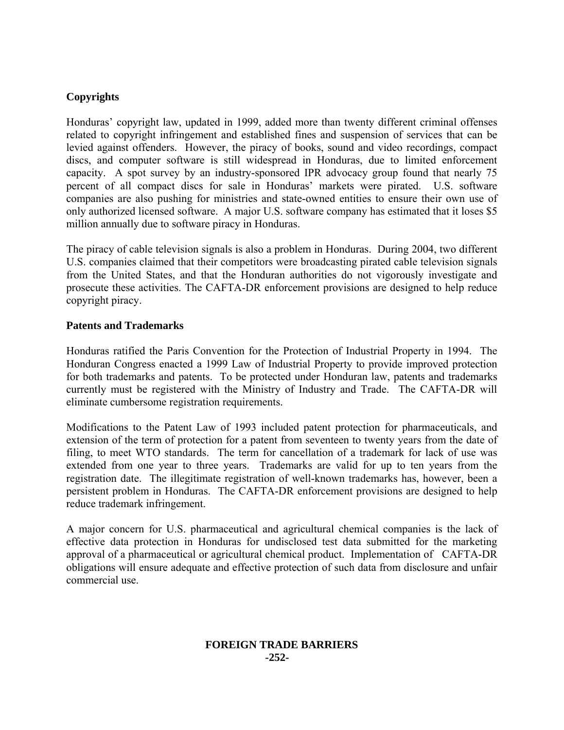# **Copyrights**

Honduras' copyright law, updated in 1999, added more than twenty different criminal offenses related to copyright infringement and established fines and suspension of services that can be levied against offenders. However, the piracy of books, sound and video recordings, compact discs, and computer software is still widespread in Honduras, due to limited enforcement capacity. A spot survey by an industry-sponsored IPR advocacy group found that nearly 75 percent of all compact discs for sale in Honduras' markets were pirated. U.S. software companies are also pushing for ministries and state-owned entities to ensure their own use of only authorized licensed software. A major U.S. software company has estimated that it loses \$5 million annually due to software piracy in Honduras.

The piracy of cable television signals is also a problem in Honduras. During 2004, two different U.S. companies claimed that their competitors were broadcasting pirated cable television signals from the United States, and that the Honduran authorities do not vigorously investigate and prosecute these activities. The CAFTA-DR enforcement provisions are designed to help reduce copyright piracy.

# **Patents and Trademarks**

Honduras ratified the Paris Convention for the Protection of Industrial Property in 1994. The Honduran Congress enacted a 1999 Law of Industrial Property to provide improved protection for both trademarks and patents. To be protected under Honduran law, patents and trademarks currently must be registered with the Ministry of Industry and Trade. The CAFTA-DR will eliminate cumbersome registration requirements.

Modifications to the Patent Law of 1993 included patent protection for pharmaceuticals, and extension of the term of protection for a patent from seventeen to twenty years from the date of filing, to meet WTO standards. The term for cancellation of a trademark for lack of use was extended from one year to three years. Trademarks are valid for up to ten years from the registration date. The illegitimate registration of well-known trademarks has, however, been a persistent problem in Honduras. The CAFTA-DR enforcement provisions are designed to help reduce trademark infringement.

A major concern for U.S. pharmaceutical and agricultural chemical companies is the lack of effective data protection in Honduras for undisclosed test data submitted for the marketing approval of a pharmaceutical or agricultural chemical product. Implementation of CAFTA-DR obligations will ensure adequate and effective protection of such data from disclosure and unfair commercial use.

## **FOREIGN TRADE BARRIERS -252-**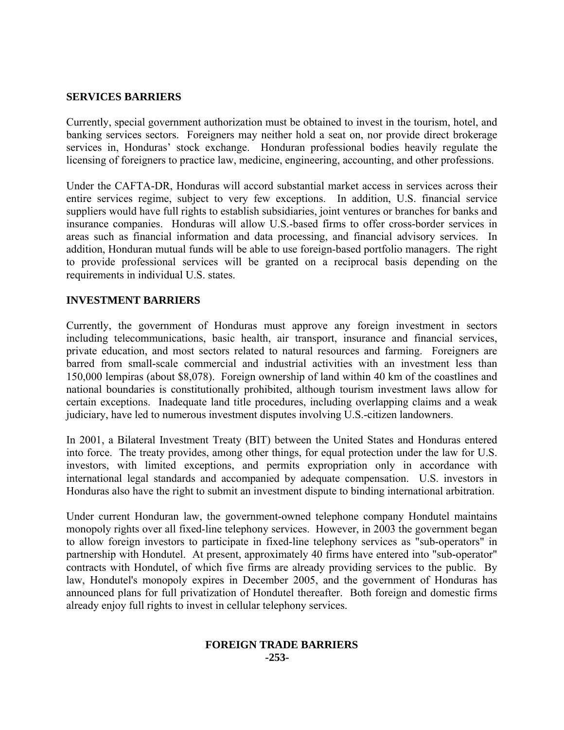## **SERVICES BARRIERS**

Currently, special government authorization must be obtained to invest in the tourism, hotel, and banking services sectors. Foreigners may neither hold a seat on, nor provide direct brokerage services in, Honduras' stock exchange. Honduran professional bodies heavily regulate the licensing of foreigners to practice law, medicine, engineering, accounting, and other professions.

Under the CAFTA-DR, Honduras will accord substantial market access in services across their entire services regime, subject to very few exceptions. In addition, U.S. financial service suppliers would have full rights to establish subsidiaries, joint ventures or branches for banks and insurance companies. Honduras will allow U.S.-based firms to offer cross-border services in areas such as financial information and data processing, and financial advisory services. In addition, Honduran mutual funds will be able to use foreign-based portfolio managers. The right to provide professional services will be granted on a reciprocal basis depending on the requirements in individual U.S. states.

## **INVESTMENT BARRIERS**

Currently, the government of Honduras must approve any foreign investment in sectors including telecommunications, basic health, air transport, insurance and financial services, private education, and most sectors related to natural resources and farming. Foreigners are barred from small-scale commercial and industrial activities with an investment less than 150,000 lempiras (about \$8,078). Foreign ownership of land within 40 km of the coastlines and national boundaries is constitutionally prohibited, although tourism investment laws allow for certain exceptions. Inadequate land title procedures, including overlapping claims and a weak judiciary, have led to numerous investment disputes involving U.S.-citizen landowners.

In 2001, a Bilateral Investment Treaty (BIT) between the United States and Honduras entered into force. The treaty provides, among other things, for equal protection under the law for U.S. investors, with limited exceptions, and permits expropriation only in accordance with international legal standards and accompanied by adequate compensation. U.S. investors in Honduras also have the right to submit an investment dispute to binding international arbitration.

Under current Honduran law, the government-owned telephone company Hondutel maintains monopoly rights over all fixed-line telephony services. However, in 2003 the government began to allow foreign investors to participate in fixed-line telephony services as "sub-operators" in partnership with Hondutel. At present, approximately 40 firms have entered into "sub-operator" contracts with Hondutel, of which five firms are already providing services to the public. By law, Hondutel's monopoly expires in December 2005, and the government of Honduras has announced plans for full privatization of Hondutel thereafter. Both foreign and domestic firms already enjoy full rights to invest in cellular telephony services.

#### **FOREIGN TRADE BARRIERS -253-**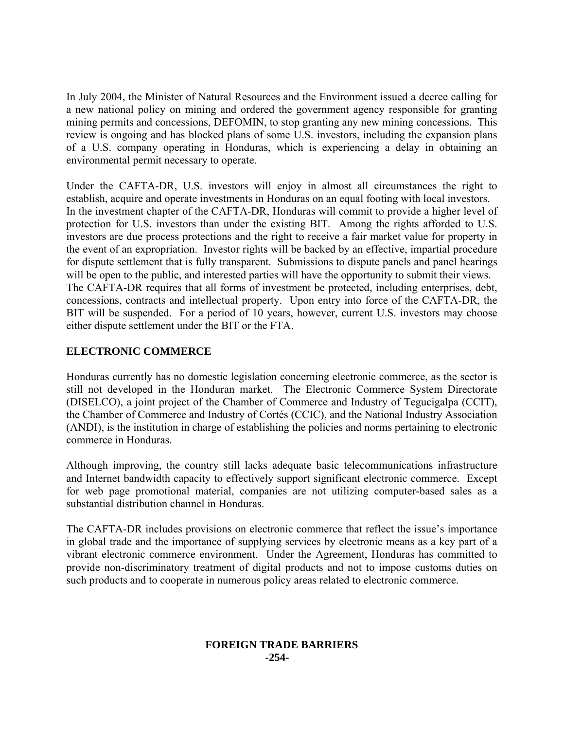In July 2004, the Minister of Natural Resources and the Environment issued a decree calling for a new national policy on mining and ordered the government agency responsible for granting mining permits and concessions, DEFOMIN, to stop granting any new mining concessions. This review is ongoing and has blocked plans of some U.S. investors, including the expansion plans of a U.S. company operating in Honduras, which is experiencing a delay in obtaining an environmental permit necessary to operate.

Under the CAFTA-DR, U.S. investors will enjoy in almost all circumstances the right to establish, acquire and operate investments in Honduras on an equal footing with local investors. In the investment chapter of the CAFTA-DR, Honduras will commit to provide a higher level of protection for U.S. investors than under the existing BIT. Among the rights afforded to U.S. investors are due process protections and the right to receive a fair market value for property in the event of an expropriation. Investor rights will be backed by an effective, impartial procedure for dispute settlement that is fully transparent. Submissions to dispute panels and panel hearings will be open to the public, and interested parties will have the opportunity to submit their views. The CAFTA-DR requires that all forms of investment be protected, including enterprises, debt, concessions, contracts and intellectual property. Upon entry into force of the CAFTA-DR, the BIT will be suspended. For a period of 10 years, however, current U.S. investors may choose either dispute settlement under the BIT or the FTA.

# **ELECTRONIC COMMERCE**

Honduras currently has no domestic legislation concerning electronic commerce, as the sector is still not developed in the Honduran market. The Electronic Commerce System Directorate (DISELCO), a joint project of the Chamber of Commerce and Industry of Tegucigalpa (CCIT), the Chamber of Commerce and Industry of Cortés (CCIC), and the National Industry Association (ANDI), is the institution in charge of establishing the policies and norms pertaining to electronic commerce in Honduras.

Although improving, the country still lacks adequate basic telecommunications infrastructure and Internet bandwidth capacity to effectively support significant electronic commerce. Except for web page promotional material, companies are not utilizing computer-based sales as a substantial distribution channel in Honduras.

The CAFTA-DR includes provisions on electronic commerce that reflect the issue's importance in global trade and the importance of supplying services by electronic means as a key part of a vibrant electronic commerce environment. Under the Agreement, Honduras has committed to provide non-discriminatory treatment of digital products and not to impose customs duties on such products and to cooperate in numerous policy areas related to electronic commerce.

## **FOREIGN TRADE BARRIERS -254-**